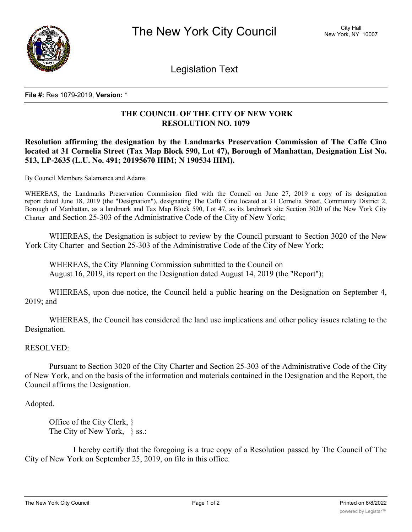

Legislation Text

#### **File #:** Res 1079-2019, **Version:** \*

# **THE COUNCIL OF THE CITY OF NEW YORK RESOLUTION NO. 1079**

# **Resolution affirming the designation by the Landmarks Preservation Commission of The Caffe Cino located at 31 Cornelia Street (Tax Map Block 590, Lot 47), Borough of Manhattan, Designation List No. 513, LP-2635 (L.U. No. 491; 20195670 HIM; N 190534 HIM).**

By Council Members Salamanca and Adams

WHEREAS, the Landmarks Preservation Commission filed with the Council on June 27, 2019 a copy of its designation report dated June 18, 2019 (the "Designation"), designating The Caffe Cino located at 31 Cornelia Street, Community District 2, Borough of Manhattan, as a landmark and Tax Map Block 590, Lot 47, as its landmark site Section 3020 of the New York City Charter and Section 25-303 of the Administrative Code of the City of New York;

WHEREAS, the Designation is subject to review by the Council pursuant to Section 3020 of the New York City Charter and Section 25-303 of the Administrative Code of the City of New York;

WHEREAS, the City Planning Commission submitted to the Council on August 16, 2019, its report on the Designation dated August 14, 2019 (the "Report");

WHEREAS, upon due notice, the Council held a public hearing on the Designation on September 4, 2019; and

WHEREAS, the Council has considered the land use implications and other policy issues relating to the Designation.

### RESOLVED:

Pursuant to Section 3020 of the City Charter and Section 25-303 of the Administrative Code of the City of New York, and on the basis of the information and materials contained in the Designation and the Report, the Council affirms the Designation.

### Adopted.

Office of the City Clerk, } The City of New York, } ss.:

I hereby certify that the foregoing is a true copy of a Resolution passed by The Council of The City of New York on September 25, 2019, on file in this office.